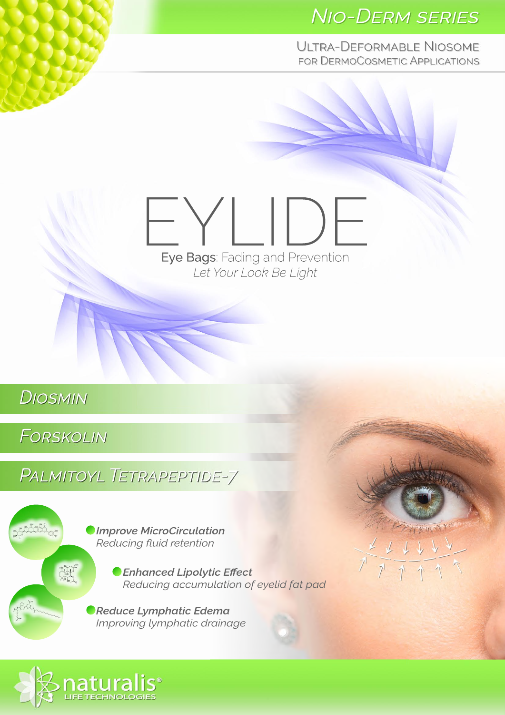### **NIO-DERM SERIES**

ULTRA-DEFORMABLE NIOSOME FOR DERMOCOSMETIC APPLICATIONS

# Eye Bags: Fading and Prevention Let Your Look Be Light

**DIOSMIN** 

**FORSKOLIN** 

Altabet

**PALMITOYL TETRAPEPTIDE-7** 

**Omprove MicroCirculation** Reducing fluid retention

> **C** Enhanced Lipolytic Effect Reducing accumulation of eyelid fat pad

**Reduce Lymphatic Edema** Improving lymphatic drainage



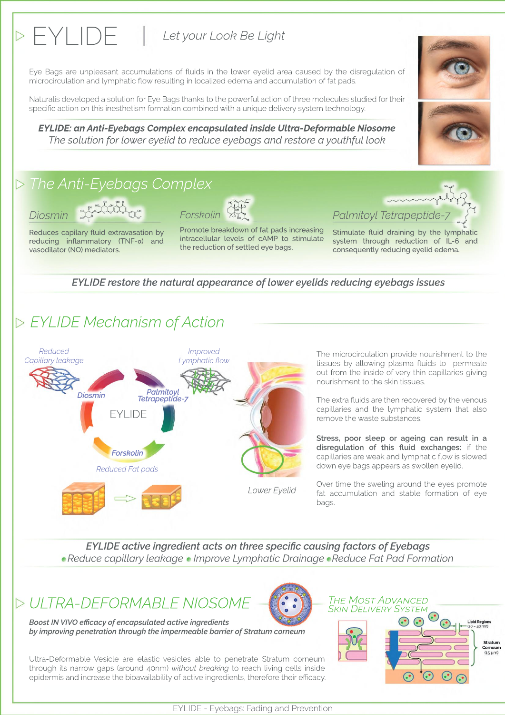### EYLIDE | Let your Look Be Light

Eye Bags are unpleasant accumulations of fluids in the lower eyelid area caused by the disregulation of microcirculation and lymphatic flow resulting in localized edema and accumulation of fat pads.

Naturalis developed a solution for Eye Bags thanks to the powerful action of three molecules studied for their specific action on this inesthetism formation combined with a unique delivery system technology.

EYLIDE: an Anti-Eyebags Complex encapsulated inside Ultra-Deformable Niosome The solution for lower eyelid to reduce eyebags and restore a youthful look

### $\triangleright$  The Anti-Eyebags Complex



Reduces capilary fluid extravasation by reducing inflammatory (TNF-a) and vasodilator (NO) mediators.

Promote breakdown of fat pads increasing intracellular levels of cAMP to stimulate the reduction of settled eye bags.

Palmitoyl Tetrapeptide Stimulate fluid draining by the lymphatic

system through reduction of IL-6 and consequently reducing eyelid edema.

### EYLIDE restore the natural appearance of lower eyelids reducing eyebags issues

### **D** EYLIDE Mechanism of Action



The microcirculation provide nourishment to the tissues by allowing plasma fluids to permeate out from the inside of very thin capillaries giving nourishment to the skin tissues.

The extra fluids are then recovered by the venous capillaries and the lymphatic system that also remove the waste substances.

Stress, poor sleep or ageing can result in a disregulation of this fluid exchanges: if the capillaries are weak and lymphatic flow is slowed down eye bags appears as swollen eyelid.

Over time the sweling around the eyes promote fat accumulation and stable formation of eye bags.

EYLIDE active ingredient acts on three specific causing factors of Eyebags • Reduce capillary leakage • Improve Lymphatic Drainage • Reduce Fat Pad Formation



Ultra-Deformable Vesicle are elastic vesicles able to penetrate Stratum corneum through its narrow gaps (around 40nm) without breaking to reach living cells inside epidermis and increase the bioavailability of active ingredients, therefore their efficacy.



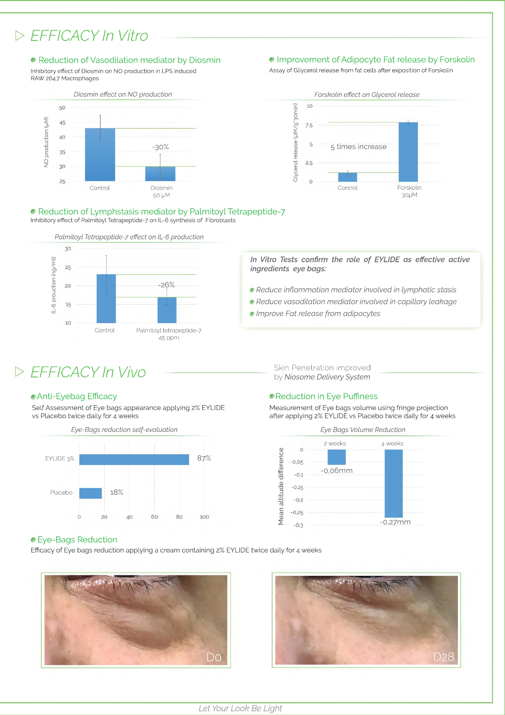### *EFFICACYInVitro*

### **• Reduction of Vasodilation mediator by Diosmin**

Inhibitory effect of Diosmin on NO production in LPS induced RAW 264.7 Macrophages



#### **Improvement of Adipocyte Fat release by Forskolin**

Assay of Gliycerol release from fat cells after exposition of Forskolin



Inhibitory effect of Palmitoyl Tetrapeptide-7 on IL-6 synthesis of Fibroblasts ■ Reduction of Lymphstasis mediator by Palmitoyl Tetrapeptide-7



#### In Vitro Tests confirm the role of EYLIDE as effective active *ingredients eye bags:*

- **Reduce inflammation mediator involved in lymphatic stasis**
- **Reduce vasodilation mediator involved in capillary leakage**
- *Improve Fat release from adipocytes*

### *EFFICACYInVivo* SkinPenetrationimproved

### **• Anti-Eyebag Efficacy**

Self Assessment of Eye bags appearance applying 2% EYLIDE vs Placebo twice daily for 4 weeks



by Niosome Delivery System

### **• Reduction in Eye Puffiness**

Measurement of Eye bags volume using fringe projection after applying 2% EYLIDE vs Placebo twice daily for 4 weeks



### **Eye-Bags Reduction**

Efficacy of Eye bags reduction applying a cream containing 2% EYLIDE twice daily for 4 weeks